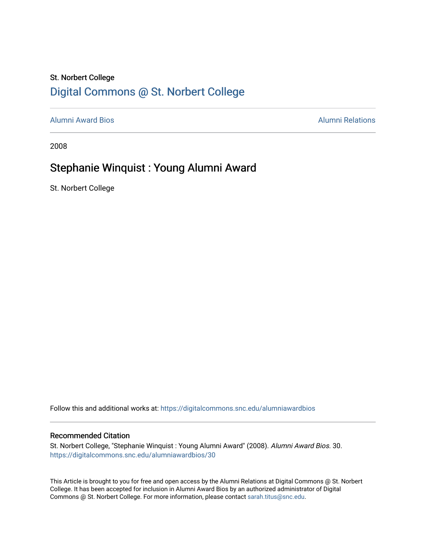## St. Norbert College [Digital Commons @ St. Norbert College](https://digitalcommons.snc.edu/)

[Alumni Award Bios](https://digitalcommons.snc.edu/alumniawardbios) [Alumni Relations](https://digitalcommons.snc.edu/alumni) 

2008

#### Stephanie Winquist : Young Alumni Award

St. Norbert College

Follow this and additional works at: [https://digitalcommons.snc.edu/alumniawardbios](https://digitalcommons.snc.edu/alumniawardbios?utm_source=digitalcommons.snc.edu%2Falumniawardbios%2F30&utm_medium=PDF&utm_campaign=PDFCoverPages)

#### Recommended Citation

St. Norbert College, "Stephanie Winquist : Young Alumni Award" (2008). Alumni Award Bios. 30. [https://digitalcommons.snc.edu/alumniawardbios/30](https://digitalcommons.snc.edu/alumniawardbios/30?utm_source=digitalcommons.snc.edu%2Falumniawardbios%2F30&utm_medium=PDF&utm_campaign=PDFCoverPages) 

This Article is brought to you for free and open access by the Alumni Relations at Digital Commons @ St. Norbert College. It has been accepted for inclusion in Alumni Award Bios by an authorized administrator of Digital Commons @ St. Norbert College. For more information, please contact [sarah.titus@snc.edu.](mailto:sarah.titus@snc.edu)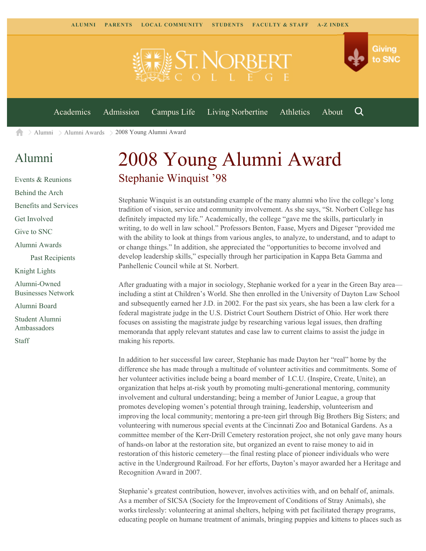

[Alumni](https://www.snc.edu/alumni/) [Alumni Awards](https://www.snc.edu/alumni/awards/) 2008 Young Alumni Award A

## [Alumni](https://www.snc.edu/alumni/index.html)

[Events & Reunions](https://www.snc.edu/alumni/event/index.html) [Behind the Arch](https://www.snc.edu/alumni/event/behindthearch/) [Benefits and Services](https://www.snc.edu/alumni/benefits.html) [Get Involved](https://www.snc.edu/alumni/getinvolved.html) [Give to SNC](http://giving.snc.edu/) [Alumni Awards](https://www.snc.edu/alumni/awards/index.html) [Past Recipients](https://www.snc.edu/alumni/awards/recipients.html) [Knight Lights](https://www.snc.edu/alumni/knightlights/index.html) [Alumni-Owned](https://www.snc.edu/alumni/directory/index.html) [Businesses Network](https://www.snc.edu/alumni/directory/index.html) [Alumni Board](https://www.snc.edu/alumni/alumniboard.html) [Student Alumni](https://www.snc.edu/alumni/saa.html) [Ambassadors](https://www.snc.edu/alumni/saa.html) [Staff](https://www.snc.edu/alumni/contactus.html)

# 2008 Young Alumni Award Stephanie Winquist '98

Stephanie Winquist is an outstanding example of the many alumni who live the college's long tradition of vision, service and community involvement. As she says, "St. Norbert College has definitely impacted my life." Academically, the college "gave me the skills, particularly in writing, to do well in law school." Professors Benton, Faase, Myers and Digeser "provided me with the ability to look at things from various angles, to analyze, to understand, and to adapt to or change things." In addition, she appreciated the "opportunities to become involved and develop leadership skills," especially through her participation in Kappa Beta Gamma and Panhellenic Council while at St. Norbert.

After graduating with a major in sociology, Stephanie worked for a year in the Green Bay area including a stint at Children's World. She then enrolled in the University of Dayton Law School and subsequently earned her J.D. in 2002. For the past six years, she has been a law clerk for a federal magistrate judge in the U.S. District Court Southern District of Ohio. Her work there focuses on assisting the magistrate judge by researching various legal issues, then drafting memoranda that apply relevant statutes and case law to current claims to assist the judge in making his reports.

In addition to her successful law career, Stephanie has made Dayton her "real" home by the difference she has made through a multitude of volunteer activities and commitments. Some of her volunteer activities include being a board member of I.C.U. (Inspire, Create, Unite), an organization that helps at-risk youth by promoting multi-generational mentoring, community involvement and cultural understanding; being a member of Junior League, a group that promotes developing women's potential through training, leadership, volunteerism and improving the local community; mentoring a pre-teen girl through Big Brothers Big Sisters; and volunteering with numerous special events at the Cincinnati Zoo and Botanical Gardens. As a committee member of the Kerr-Drill Cemetery restoration project, she not only gave many hours of hands-on labor at the restoration site, but organized an event to raise money to aid in restoration of this historic cemetery—the final resting place of pioneer individuals who were active in the Underground Railroad. For her efforts, Dayton's mayor awarded her a Heritage and Recognition Award in 2007.

Stephanie's greatest contribution, however, involves activities with, and on behalf of, animals. As a member of SICSA (Society for the Improvement of Conditions of Stray Animals), she works tirelessly: volunteering at animal shelters, helping with pet facilitated therapy programs, educating people on humane treatment of animals, bringing puppies and kittens to places such as